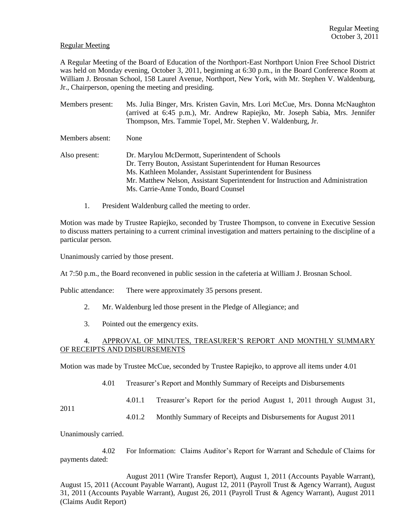## Regular Meeting

A Regular Meeting of the Board of Education of the Northport-East Northport Union Free School District was held on Monday evening, October 3, 2011, beginning at 6:30 p.m., in the Board Conference Room at William J. Brosnan School, 158 Laurel Avenue, Northport, New York, with Mr. Stephen V. Waldenburg, Jr., Chairperson, opening the meeting and presiding.

Members present: Ms. Julia Binger, Mrs. Kristen Gavin, Mrs. Lori McCue, Mrs. Donna McNaughton (arrived at 6:45 p.m.), Mr. Andrew Rapiejko, Mr. Joseph Sabia, Mrs. Jennifer Thompson, Mrs. Tammie Topel, Mr. Stephen V. Waldenburg, Jr. Members absent: None Also present: Dr. Marylou McDermott, Superintendent of Schools Dr. Terry Bouton, Assistant Superintendent for Human Resources Ms. Kathleen Molander, Assistant Superintendent for Business Mr. Matthew Nelson, Assistant Superintendent for Instruction and Administration Ms. Carrie-Anne Tondo, Board Counsel

1. President Waldenburg called the meeting to order.

Motion was made by Trustee Rapiejko, seconded by Trustee Thompson, to convene in Executive Session to discuss matters pertaining to a current criminal investigation and matters pertaining to the discipline of a particular person.

Unanimously carried by those present.

At 7:50 p.m., the Board reconvened in public session in the cafeteria at William J. Brosnan School.

Public attendance: There were approximately 35 persons present.

- 2. Mr. Waldenburg led those present in the Pledge of Allegiance; and
- 3. Pointed out the emergency exits.

# 4. APPROVAL OF MINUTES, TREASURER'S REPORT AND MONTHLY SUMMARY OF RECEIPTS AND DISBURSEMENTS

Motion was made by Trustee McCue, seconded by Trustee Rapiejko, to approve all items under 4.01

4.01 Treasurer's Report and Monthly Summary of Receipts and Disbursements

4.01.1 Treasurer's Report for the period August 1, 2011 through August 31,

2011

4.01.2 Monthly Summary of Receipts and Disbursements for August 2011

Unanimously carried.

4.02 For Information: Claims Auditor's Report for Warrant and Schedule of Claims for payments dated:

August 2011 (Wire Transfer Report), August 1, 2011 (Accounts Payable Warrant), August 15, 2011 (Account Payable Warrant), August 12, 2011 (Payroll Trust & Agency Warrant), August 31, 2011 (Accounts Payable Warrant), August 26, 2011 (Payroll Trust & Agency Warrant), August 2011 (Claims Audit Report)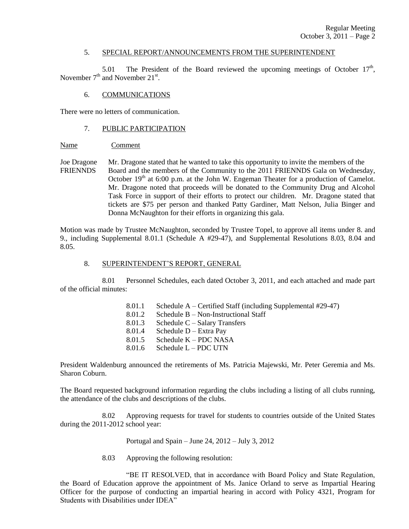## 5. SPECIAL REPORT/ANNOUNCEMENTS FROM THE SUPERINTENDENT

5.01 The President of the Board reviewed the upcoming meetings of October  $17<sup>th</sup>$ , November  $7<sup>th</sup>$  and November 21<sup>st</sup>.

## 6. COMMUNICATIONS

There were no letters of communication.

## 7. PUBLIC PARTICIPATION

## Name Comment

Joe Dragone Mr. Dragone stated that he wanted to take this opportunity to invite the members of the FRIENNDS Board and the members of the Community to the 2011 FRIENNDS Gala on Wednesday, October  $19<sup>th</sup>$  at 6:00 p.m. at the John W. Engeman Theater for a production of Camelot. Mr. Dragone noted that proceeds will be donated to the Community Drug and Alcohol Task Force in support of their efforts to protect our children. Mr. Dragone stated that tickets are \$75 per person and thanked Patty Gardiner, Matt Nelson, Julia Binger and Donna McNaughton for their efforts in organizing this gala.

Motion was made by Trustee McNaughton, seconded by Trustee Topel, to approve all items under 8. and 9., including Supplemental 8.01.1 (Schedule A #29-47), and Supplemental Resolutions 8.03, 8.04 and 8.05.

#### 8. SUPERINTENDENT'S REPORT, GENERAL

8.01 Personnel Schedules, each dated October 3, 2011, and each attached and made part of the official minutes:

| 8.01.1 | Schedule $A -$ Certified Staff (including Supplemental #29-47) |
|--------|----------------------------------------------------------------|
| 8.01.2 | Schedule $B - Non-Instructional Staff$                         |
| 8.01.3 | Schedule $C -$ Salary Transfers                                |
| 8.01.4 | Schedule $D$ – Extra Pay                                       |
| 8.01.5 | Schedule $K - PDC NASA$                                        |
| 8.01.6 | Schedule L - PDC UTN                                           |
|        |                                                                |

President Waldenburg announced the retirements of Ms. Patricia Majewski, Mr. Peter Geremia and Ms. Sharon Coburn.

The Board requested background information regarding the clubs including a listing of all clubs running, the attendance of the clubs and descriptions of the clubs.

8.02 Approving requests for travel for students to countries outside of the United States during the 2011-2012 school year:

Portugal and Spain – June 24,  $2012 - \text{July } 3$ ,  $2012$ 

8.03 Approving the following resolution:

"BE IT RESOLVED, that in accordance with Board Policy and State Regulation, the Board of Education approve the appointment of Ms. Janice Orland to serve as Impartial Hearing Officer for the purpose of conducting an impartial hearing in accord with Policy 4321, Program for Students with Disabilities under IDEA"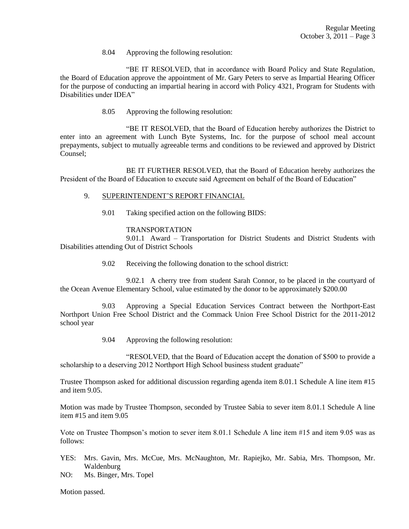8.04 Approving the following resolution:

"BE IT RESOLVED, that in accordance with Board Policy and State Regulation, the Board of Education approve the appointment of Mr. Gary Peters to serve as Impartial Hearing Officer for the purpose of conducting an impartial hearing in accord with Policy 4321, Program for Students with Disabilities under IDEA"

8.05 Approving the following resolution:

"BE IT RESOLVED, that the Board of Education hereby authorizes the District to enter into an agreement with Lunch Byte Systems, Inc. for the purpose of school meal account prepayments, subject to mutually agreeable terms and conditions to be reviewed and approved by District Counsel;

BE IT FURTHER RESOLVED, that the Board of Education hereby authorizes the President of the Board of Education to execute said Agreement on behalf of the Board of Education"

- 9. SUPERINTENDENT'S REPORT FINANCIAL
	- 9.01 Taking specified action on the following BIDS:

## TRANSPORTATION

9.01.1 Award – Transportation for District Students and District Students with Disabilities attending Out of District Schools

9.02 Receiving the following donation to the school district:

9.02.1 A cherry tree from student Sarah Connor, to be placed in the courtyard of the Ocean Avenue Elementary School, value estimated by the donor to be approximately \$200.00

9.03 Approving a Special Education Services Contract between the Northport-East Northport Union Free School District and the Commack Union Free School District for the 2011-2012 school year

9.04 Approving the following resolution:

"RESOLVED, that the Board of Education accept the donation of \$500 to provide a scholarship to a deserving 2012 Northport High School business student graduate"

Trustee Thompson asked for additional discussion regarding agenda item 8.01.1 Schedule A line item #15 and item 9.05.

Motion was made by Trustee Thompson, seconded by Trustee Sabia to sever item 8.01.1 Schedule A line item #15 and item 9.05

Vote on Trustee Thompson's motion to sever item 8.01.1 Schedule A line item #15 and item 9.05 was as follows:

- YES: Mrs. Gavin, Mrs. McCue, Mrs. McNaughton, Mr. Rapiejko, Mr. Sabia, Mrs. Thompson, Mr. Waldenburg
- NO: Ms. Binger, Mrs. Topel

Motion passed.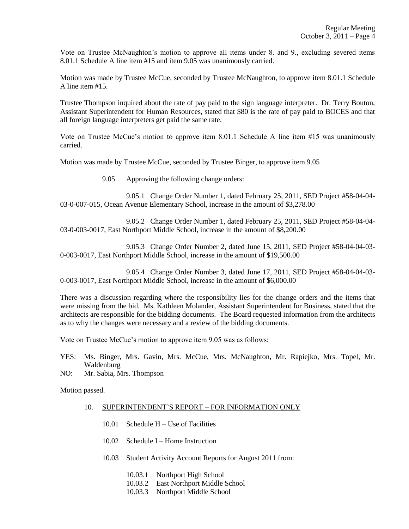Vote on Trustee McNaughton's motion to approve all items under 8. and 9., excluding severed items 8.01.1 Schedule A line item #15 and item 9.05 was unanimously carried.

Motion was made by Trustee McCue, seconded by Trustee McNaughton, to approve item 8.01.1 Schedule A line item #15.

Trustee Thompson inquired about the rate of pay paid to the sign language interpreter. Dr. Terry Bouton, Assistant Superintendent for Human Resources, stated that \$80 is the rate of pay paid to BOCES and that all foreign language interpreters get paid the same rate.

Vote on Trustee McCue's motion to approve item 8.01.1 Schedule A line item #15 was unanimously carried.

Motion was made by Trustee McCue, seconded by Trustee Binger, to approve item 9.05

9.05 Approving the following change orders:

9.05.1 Change Order Number 1, dated February 25, 2011, SED Project #58-04-04- 03-0-007-015, Ocean Avenue Elementary School, increase in the amount of \$3,278.00

9.05.2 Change Order Number 1, dated February 25, 2011, SED Project #58-04-04- 03-0-003-0017, East Northport Middle School, increase in the amount of \$8,200.00

9.05.3 Change Order Number 2, dated June 15, 2011, SED Project #58-04-04-03- 0-003-0017, East Northport Middle School, increase in the amount of \$19,500.00

9.05.4 Change Order Number 3, dated June 17, 2011, SED Project #58-04-04-03- 0-003-0017, East Northport Middle School, increase in the amount of \$6,000.00

There was a discussion regarding where the responsibility lies for the change orders and the items that were missing from the bid. Ms. Kathleen Molander, Assistant Superintendent for Business, stated that the architects are responsible for the bidding documents. The Board requested information from the architects as to why the changes were necessary and a review of the bidding documents.

Vote on Trustee McCue's motion to approve item 9.05 was as follows:

- YES: Ms. Binger, Mrs. Gavin, Mrs. McCue, Mrs. McNaughton, Mr. Rapiejko, Mrs. Topel, Mr. Waldenburg
- NO: Mr. Sabia, Mrs. Thompson

Motion passed.

## 10. SUPERINTENDENT'S REPORT – FOR INFORMATION ONLY

- 10.01 Schedule H Use of Facilities
- 10.02 Schedule I Home Instruction
- 10.03 Student Activity Account Reports for August 2011 from:
	- 10.03.1 Northport High School
	- 10.03.2 East Northport Middle School
	- 10.03.3 Northport Middle School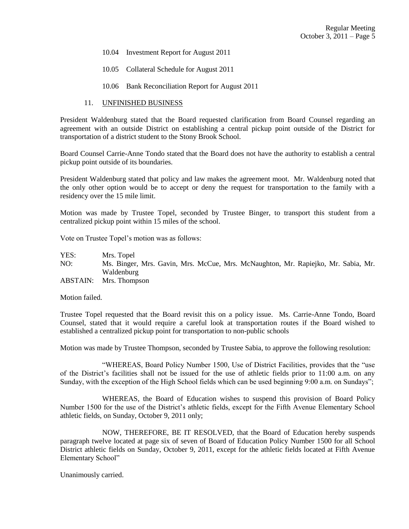- 10.04 Investment Report for August 2011
- 10.05 Collateral Schedule for August 2011
- 10.06 Bank Reconciliation Report for August 2011

# 11. UNFINISHED BUSINESS

President Waldenburg stated that the Board requested clarification from Board Counsel regarding an agreement with an outside District on establishing a central pickup point outside of the District for transportation of a district student to the Stony Brook School.

Board Counsel Carrie-Anne Tondo stated that the Board does not have the authority to establish a central pickup point outside of its boundaries.

President Waldenburg stated that policy and law makes the agreement moot. Mr. Waldenburg noted that the only other option would be to accept or deny the request for transportation to the family with a residency over the 15 mile limit.

Motion was made by Trustee Topel, seconded by Trustee Binger, to transport this student from a centralized pickup point within 15 miles of the school.

Vote on Trustee Topel's motion was as follows:

YES: Mrs. Topel NO: Ms. Binger, Mrs. Gavin, Mrs. McCue, Mrs. McNaughton, Mr. Rapiejko, Mr. Sabia, Mr. Waldenburg ABSTAIN: Mrs. Thompson

Motion failed.

Trustee Topel requested that the Board revisit this on a policy issue. Ms. Carrie-Anne Tondo, Board Counsel, stated that it would require a careful look at transportation routes if the Board wished to established a centralized pickup point for transportation to non-public schools

Motion was made by Trustee Thompson, seconded by Trustee Sabia, to approve the following resolution:

"WHEREAS, Board Policy Number 1500, Use of District Facilities, provides that the "use of the District's facilities shall not be issued for the use of athletic fields prior to 11:00 a.m. on any Sunday, with the exception of the High School fields which can be used beginning 9:00 a.m. on Sundays";

WHEREAS, the Board of Education wishes to suspend this provision of Board Policy Number 1500 for the use of the District's athletic fields, except for the Fifth Avenue Elementary School athletic fields, on Sunday, October 9, 2011 only;

NOW, THEREFORE, BE IT RESOLVED, that the Board of Education hereby suspends paragraph twelve located at page six of seven of Board of Education Policy Number 1500 for all School District athletic fields on Sunday, October 9, 2011, except for the athletic fields located at Fifth Avenue Elementary School"

Unanimously carried.